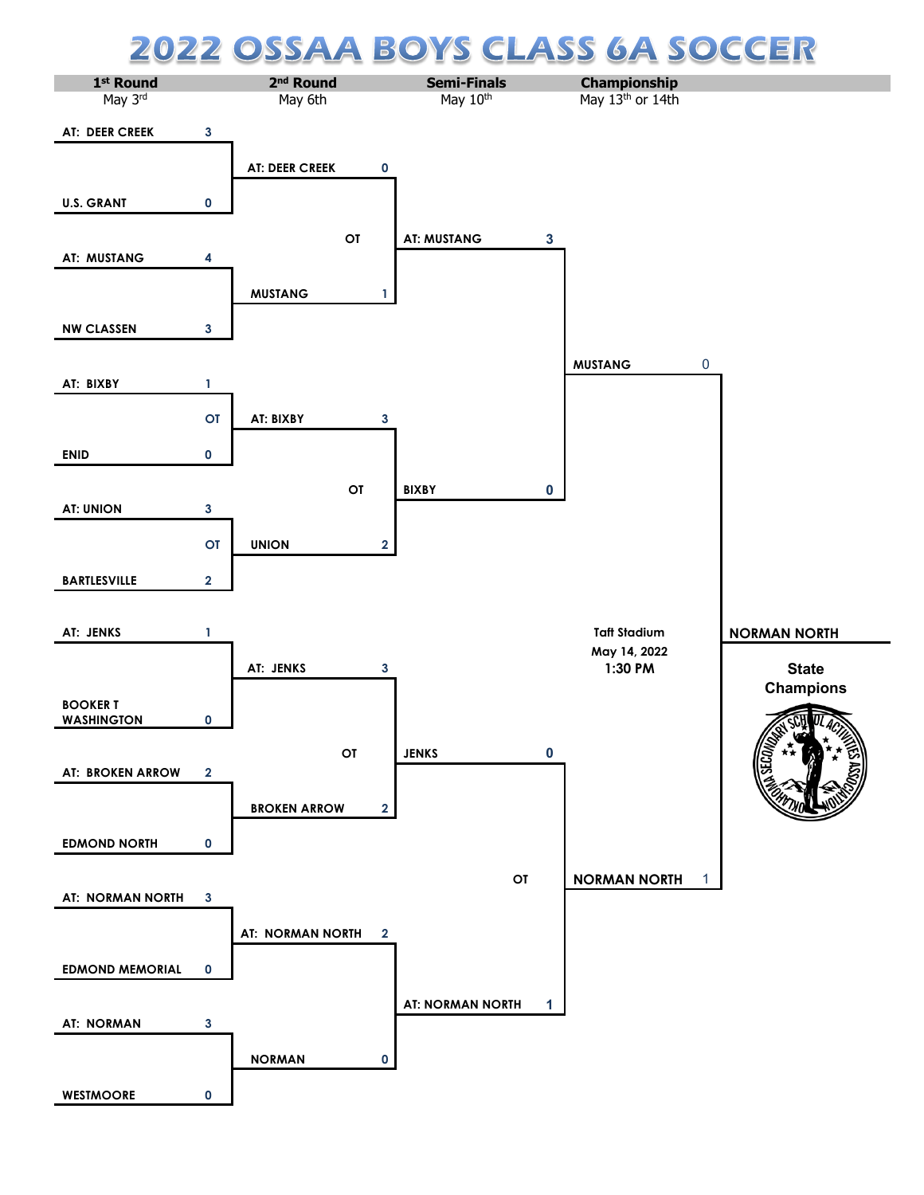## **CLASS 6A SOCCER 22 OSSA** A BOY S